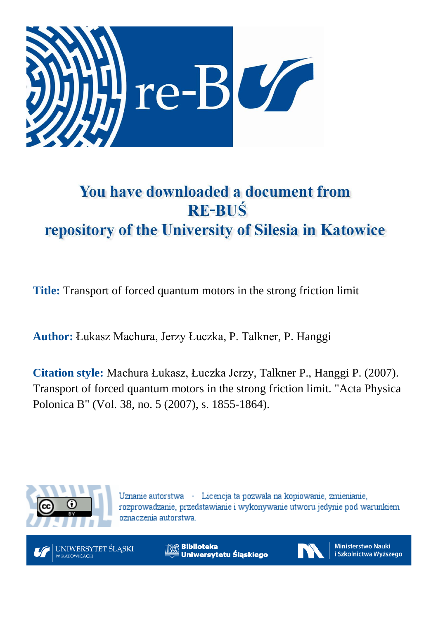

# You have downloaded a document from **RE-BUŚ** repository of the University of Silesia in Katowice

**Title:** Transport of forced quantum motors in the strong friction limit

**Author:** Łukasz Machura, Jerzy Łuczka, P. Talkner, P. Hanggi

**Citation style:** Machura Łukasz, Łuczka Jerzy, Talkner P., Hanggi P. (2007). Transport of forced quantum motors in the strong friction limit. "Acta Physica Polonica B" (Vol. 38, no. 5 (2007), s. 1855-1864).



Uznanie autorstwa - Licencja ta pozwala na kopiowanie, zmienianie, rozprowadzanie, przedstawianie i wykonywanie utworu jedynie pod warunkiem oznaczenia autorstwa.



**Biblioteka** Uniwersytetu Śląskiego



**Ministerstwo Nauki** i Szkolnictwa Wyższego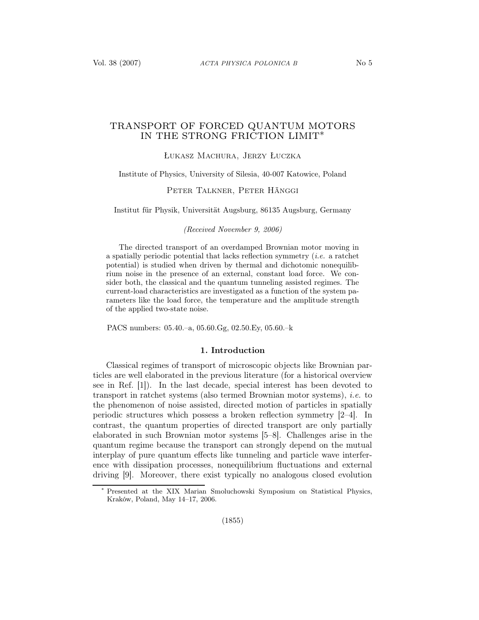# TRANSPORT OF FORCED QUANTUM MOTORS IN THE STRONG FRICTION LIMIT∗

Łukasz Machura, Jerzy Łuczka

Institute of Physics, University of Silesia, 40-007 Katowice, Poland

# Peter Talkner, Peter Hänggi

Institut für Physik, Universität Augsburg, 86135 Augsburg, Germany

(Received November 9, 2006)

The directed transport of an overdamped Brownian motor moving in a spatially periodic potential that lacks reflection symmetry (i.e. a ratchet potential) is studied when driven by thermal and dichotomic nonequilibrium noise in the presence of an external, constant load force. We consider both, the classical and the quantum tunneling assisted regimes. The current-load characteristics are investigated as a function of the system parameters like the load force, the temperature and the amplitude strength of the applied two-state noise.

PACS numbers: 05.40.–a, 05.60.Gg, 02.50.Ey, 05.60.–k

#### 1. Introduction

Classical regimes of transport of microscopic objects like Brownian particles are well elaborated in the previous literature (for a historical overview see in Ref. [1]). In the last decade, special interest has been devoted to transport in ratchet systems (also termed Brownian motor systems), i.e. to the phenomenon of noise assisted, directed motion of particles in spatially periodic structures which possess a broken reflection symmetry [2–4]. In contrast, the quantum properties of directed transport are only partially elaborated in such Brownian motor systems [5–8]. Challenges arise in the quantum regime because the transport can strongly depend on the mutual interplay of pure quantum effects like tunneling and particle wave interference with dissipation processes, nonequilibrium fluctuations and external driving [9]. Moreover, there exist typically no analogous closed evolution

<sup>∗</sup> Presented at the XIX Marian Smoluchowski Symposium on Statistical Physics, Kraków, Poland, May 14–17, 2006.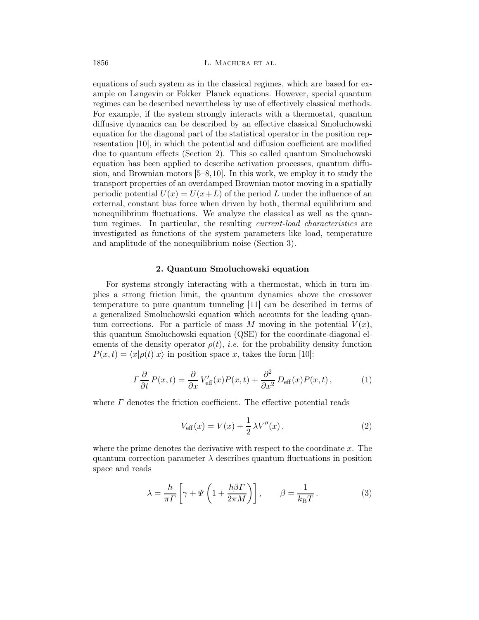equations of such system as in the classical regimes, which are based for example on Langevin or Fokker–Planck equations. However, special quantum regimes can be described nevertheless by use of effectively classical methods. For example, if the system strongly interacts with a thermostat, quantum diffusive dynamics can be described by an effective classical Smoluchowski equation for the diagonal part of the statistical operator in the position representation [10], in which the potential and diffusion coefficient are modified due to quantum effects (Section 2). This so called quantum Smoluchowski equation has been applied to describe activation processes, quantum diffusion, and Brownian motors [5–8,10]. In this work, we employ it to study the transport properties of an overdamped Brownian motor moving in a spatially periodic potential  $U(x) = U(x+L)$  of the period L under the influence of an external, constant bias force when driven by both, thermal equilibrium and nonequilibrium fluctuations. We analyze the classical as well as the quantum regimes. In particular, the resulting current-load characteristics are investigated as functions of the system parameters like load, temperature and amplitude of the nonequilibrium noise (Section 3).

#### 2. Quantum Smoluchowski equation

For systems strongly interacting with a thermostat, which in turn implies a strong friction limit, the quantum dynamics above the crossover temperature to pure quantum tunneling [11] can be described in terms of a generalized Smoluchowski equation which accounts for the leading quantum corrections. For a particle of mass M moving in the potential  $V(x)$ , this quantum Smoluchowski equation (QSE) for the coordinate-diagonal elements of the density operator  $\rho(t)$ , *i.e.* for the probability density function  $P(x,t) = \langle x|\rho(t)|x\rangle$  in position space x, takes the form [10]:

$$
\Gamma \frac{\partial}{\partial t} P(x,t) = \frac{\partial}{\partial x} V'_{\text{eff}}(x) P(x,t) + \frac{\partial^2}{\partial x^2} D_{\text{eff}}(x) P(x,t), \qquad (1)
$$

where  $\Gamma$  denotes the friction coefficient. The effective potential reads

$$
V_{\text{eff}}(x) = V(x) + \frac{1}{2} \lambda V''(x), \qquad (2)
$$

where the prime denotes the derivative with respect to the coordinate  $x$ . The quantum correction parameter  $\lambda$  describes quantum fluctuations in position space and reads

$$
\lambda = \frac{\hbar}{\pi \Gamma} \left[ \gamma + \Psi \left( 1 + \frac{\hbar \beta \Gamma}{2\pi M} \right) \right], \qquad \beta = \frac{1}{k_{\text{B}} T} \,. \tag{3}
$$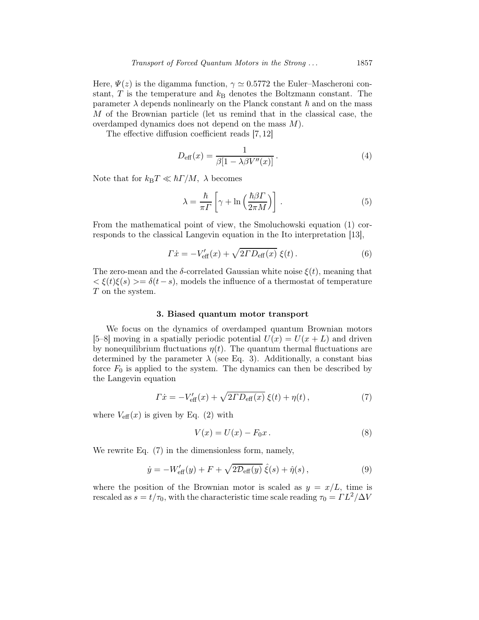Here,  $\Psi(z)$  is the digamma function,  $\gamma \simeq 0.5772$  the Euler–Mascheroni constant, T is the temperature and  $k<sub>B</sub>$  denotes the Boltzmann constant. The parameter  $\lambda$  depends nonlinearly on the Planck constant  $\hbar$  and on the mass M of the Brownian particle (let us remind that in the classical case, the overdamped dynamics does not depend on the mass M).

The effective diffusion coefficient reads [7, 12]

$$
D_{\text{eff}}(x) = \frac{1}{\beta[1 - \lambda \beta V''(x)]}.
$$
\n(4)

Note that for  $k_BT \ll \hbar T/M$ ,  $\lambda$  becomes

$$
\lambda = \frac{\hbar}{\pi \Gamma} \left[ \gamma + \ln \left( \frac{\hbar \beta \Gamma}{2 \pi M} \right) \right] . \tag{5}
$$

From the mathematical point of view, the Smoluchowski equation (1) corresponds to the classical Langevin equation in the Ito interpretation [13],

$$
\Gamma \dot{x} = -V_{\text{eff}}'(x) + \sqrt{2\Gamma D_{\text{eff}}(x)} \xi(t). \tag{6}
$$

The zero-mean and the  $\delta$ -correlated Gaussian white noise  $\xi(t)$ , meaning that  $\langle \xi(t)\xi(s)\rangle = \delta(t-s)$ , models the influence of a thermostat of temperature T on the system.

# 3. Biased quantum motor transport

We focus on the dynamics of overdamped quantum Brownian motors [5–8] moving in a spatially periodic potential  $U(x) = U(x + L)$  and driven by nonequilibrium fluctuations  $\eta(t)$ . The quantum thermal fluctuations are determined by the parameter  $\lambda$  (see Eq. 3). Additionally, a constant bias force  $F_0$  is applied to the system. The dynamics can then be described by the Langevin equation

$$
\Gamma \dot{x} = -V_{\text{eff}}'(x) + \sqrt{2\Gamma D_{\text{eff}}(x)} \xi(t) + \eta(t) , \qquad (7)
$$

where  $V_{\text{eff}}(x)$  is given by Eq. (2) with

$$
V(x) = U(x) - F_0 x. \tag{8}
$$

We rewrite Eq. (7) in the dimensionless form, namely,

$$
\dot{y} = -W'_{\text{eff}}(y) + F + \sqrt{2\mathcal{D}_{\text{eff}}(y)}\,\hat{\xi}(s) + \hat{\eta}(s)\,,\tag{9}
$$

where the position of the Brownian motor is scaled as  $y = x/L$ , time is rescaled as  $s = t/\tau_0$ , with the characteristic time scale reading  $\tau_0 = \Gamma L^2/\Delta V$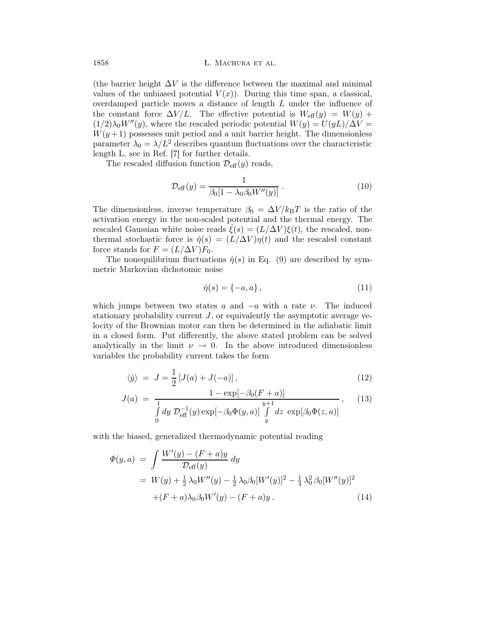(the barrier height  $\Delta V$  is the difference between the maximal and minimal values of the unbiased potential  $V(x)$ ). During this time span, a classical, overdamped particle moves a distance of length L under the influence of the constant force  $\Delta V/L$ . The effective potential is  $W_{\text{eff}}(y) = W(y) +$  $(1/2)\lambda_0 W''(y)$ , where the rescaled periodic potential  $W(y) = U(yL)/\Delta V =$  $W(y+1)$  possesses unit period and a unit barrier height. The dimensionless parameter  $\lambda_0 = \lambda/L^2$  describes quantum fluctuations over the characteristic length L, see in Ref. [7] for further details.

The rescaled diffusion function  $\mathcal{D}_{\text{eff}}(y)$  reads,

$$
\mathcal{D}_{\text{eff}}(y) = \frac{1}{\beta_0 [1 - \lambda_0 \beta_0 W''(y)]} \,. \tag{10}
$$

The dimensionless, inverse temperature  $\beta_0 = \Delta V / k_B T$  is the ratio of the activation energy in the non-scaled potential and the thermal energy. The rescaled Gaussian white noise reads  $\xi(s) = (L/\Delta V)\xi(t)$ , the rescaled, nonthermal stochastic force is  $\hat{\eta}(s) = (L/\Delta V)\eta(t)$  and the rescaled constant force stands for  $F = (L/\Delta V)F_0$ .

The nonequilibrium fluctuations  $\hat{\eta}(s)$  in Eq. (9) are described by symmetric Markovian dichotomic noise

$$
\hat{\eta}(s) = \{-a, a\},\tag{11}
$$

which jumps between two states a and  $-a$  with a rate  $\nu$ . The induced stationary probability current  $J$ , or equivalently the asymptotic average velocity of the Brownian motor can then be determined in the adiabatic limit in a closed form. Put differently, the above stated problem can be solved analytically in the limit  $\nu \rightarrow 0$ . In the above introduced dimensionless variables the probability current takes the form

$$
\langle \dot{y} \rangle = J = \frac{1}{2} \left[ J(a) + J(-a) \right],\tag{12}
$$

$$
J(a) = \frac{1 - \exp[-\beta_0(F + a)]}{\int_0^1 dy \ \mathcal{D}_{\text{eff}}^{-1}(y) \exp[-\beta_0 \Phi(y, a)] \int_y^{y+1} dz \ \exp[\beta_0 \Phi(z, a)]}, \quad (13)
$$

with the biased, generalized thermodynamic potential reading

$$
\Phi(y, a) = \int \frac{W'(y) - (F + a)y}{\mathcal{D}_{\text{eff}}(y)} dy
$$
  
=  $W(y) + \frac{1}{2} \lambda_0 W''(y) - \frac{1}{2} \lambda_0 \beta_0 [W'(y)]^2 - \frac{1}{4} \lambda_0^2 \beta_0 [W''(y)]^2$   
+ $(F + a) \lambda_0 \beta_0 W'(y) - (F + a)y$ . (14)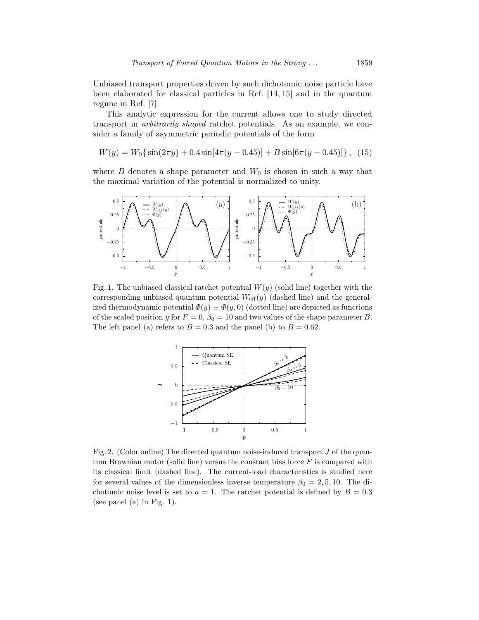Unbiased transport properties driven by such dichotomic noise particle have been elaborated for classical particles in Ref. [14, 15] and in the quantum regime in Ref. [7].

This analytic expression for the current allows one to study directed transport in arbitrarily shaped ratchet potentials. As an example, we consider a family of asymmetric periodic potentials of the form

$$
W(y) = W_0\{\sin(2\pi y) + 0.4\sin[4\pi(y - 0.45)] + B\sin[6\pi(y - 0.45)]\}, (15)
$$

where  $B$  denotes a shape parameter and  $W_0$  is chosen in such a way that the maximal variation of the potential is normalized to unity.



Fig. 1. The unbiased classical ratchet potential  $W(y)$  (solid line) together with the corresponding unbiased quantum potential  $W_{\text{eff}}(y)$  (dashed line) and the generalized thermodynamic potential  $\Phi(y) \equiv \Phi(y, 0)$  (dotted line) are depicted as functions of the scaled position y for  $F = 0$ ,  $\beta_0 = 10$  and two values of the shape parameter B. The left panel (a) refers to  $B = 0.3$  and the panel (b) to  $B = 0.62$ .



Fig. 2. (Color online) The directed quantum noise-induced transport  $J$  of the quantum Brownian motor (solid line) versus the constant bias force  $F$  is compared with its classical limit (dashed line). The current-load characteristics is studied here for several values of the dimensionless inverse temperature  $\beta_0 = 2, 5, 10$ . The dichotomic noise level is set to  $a = 1$ . The ratchet potential is defined by  $B = 0.3$ (see panel (a) in Fig. 1).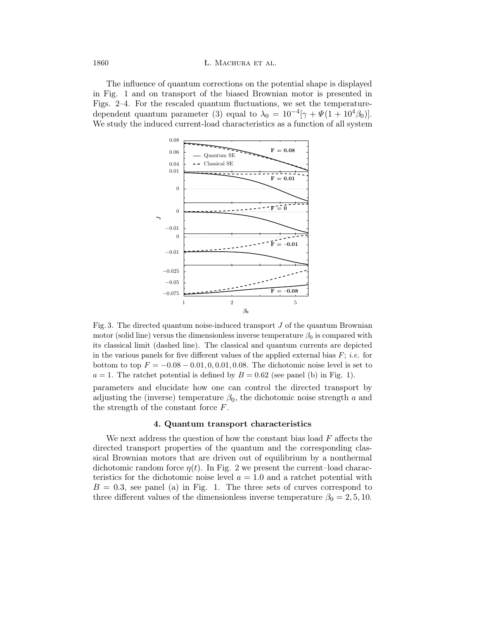The influence of quantum corrections on the potential shape is displayed in Fig. 1 and on transport of the biased Brownian motor is presented in Figs. 2–4. For the rescaled quantum fluctuations, we set the temperaturedependent quantum parameter (3) equal to  $\lambda_0 = 10^{-4} [\gamma + \Psi(1 + 10^4 \beta_0)].$ We study the induced current-load characteristics as a function of all system



Fig. 3. The directed quantum noise-induced transport J of the quantum Brownian motor (solid line) versus the dimensionless inverse temperature  $\beta_0$  is compared with its classical limit (dashed line). The classical and quantum currents are depicted in the various panels for five different values of the applied external bias  $F$ ; *i.e.* for bottom to top  $F = -0.08 - 0.01, 0, 0.01, 0.08$ . The dichotomic noise level is set to  $a = 1$ . The ratchet potential is defined by  $B = 0.62$  (see panel (b) in Fig. 1).

parameters and elucidate how one can control the directed transport by adjusting the (inverse) temperature  $\beta_0$ , the dichotomic noise strength a and the strength of the constant force  $F$ .

# 4. Quantum transport characteristics

We next address the question of how the constant bias load  $F$  affects the directed transport properties of the quantum and the corresponding classical Brownian motors that are driven out of equilibrium by a nonthermal dichotomic random force  $\eta(t)$ . In Fig. 2 we present the current-load characteristics for the dichotomic noise level  $a = 1.0$  and a ratchet potential with  $B = 0.3$ , see panel (a) in Fig. 1. The three sets of curves correspond to three different values of the dimensionless inverse temperature  $\beta_0 = 2, 5, 10$ .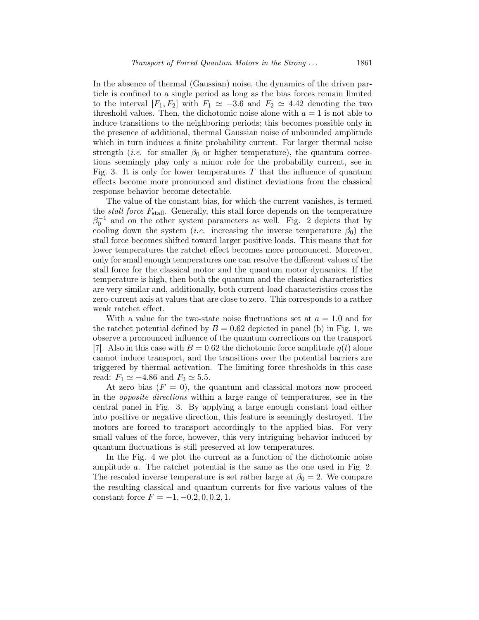In the absence of thermal (Gaussian) noise, the dynamics of the driven particle is confined to a single period as long as the bias forces remain limited to the interval  $[F_1, F_2]$  with  $F_1 \simeq -3.6$  and  $F_2 \simeq 4.42$  denoting the two threshold values. Then, the dichotomic noise alone with  $a = 1$  is not able to induce transitions to the neighboring periods; this becomes possible only in the presence of additional, thermal Gaussian noise of unbounded amplitude which in turn induces a finite probability current. For larger thermal noise strength (*i.e.* for smaller  $\beta_0$  or higher temperature), the quantum corrections seemingly play only a minor role for the probability current, see in Fig. 3. It is only for lower temperatures T that the influence of quantum effects become more pronounced and distinct deviations from the classical response behavior become detectable.

The value of the constant bias, for which the current vanishes, is termed the *stall force*  $F_{\text{stall}}$ . Generally, this stall force depends on the temperature  $\beta_0^{-1}$  and on the other system parameters as well. Fig. 2 depicts that by cooling down the system (*i.e.* increasing the inverse temperature  $\beta_0$ ) the stall force becomes shifted toward larger positive loads. This means that for lower temperatures the ratchet effect becomes more pronounced. Moreover, only for small enough temperatures one can resolve the different values of the stall force for the classical motor and the quantum motor dynamics. If the temperature is high, then both the quantum and the classical characteristics are very similar and, additionally, both current-load characteristics cross the zero-current axis at values that are close to zero. This corresponds to a rather weak ratchet effect.

With a value for the two-state noise fluctuations set at  $a = 1.0$  and for the ratchet potential defined by  $B = 0.62$  depicted in panel (b) in Fig. 1, we observe a pronounced influence of the quantum corrections on the transport [7]. Also in this case with  $B = 0.62$  the dichotomic force amplitude  $\eta(t)$  alone cannot induce transport, and the transitions over the potential barriers are triggered by thermal activation. The limiting force thresholds in this case read:  $F_1 \simeq -4.86$  and  $F_2 \simeq 5.5$ .

At zero bias  $(F = 0)$ , the quantum and classical motors now proceed in the opposite directions within a large range of temperatures, see in the central panel in Fig. 3. By applying a large enough constant load either into positive or negative direction, this feature is seemingly destroyed. The motors are forced to transport accordingly to the applied bias. For very small values of the force, however, this very intriguing behavior induced by quantum fluctuations is still preserved at low temperatures.

In the Fig. 4 we plot the current as a function of the dichotomic noise amplitude a. The ratchet potential is the same as the one used in Fig. 2. The rescaled inverse temperature is set rather large at  $\beta_0 = 2$ . We compare the resulting classical and quantum currents for five various values of the constant force  $F = -1, -0.2, 0, 0.2, 1.$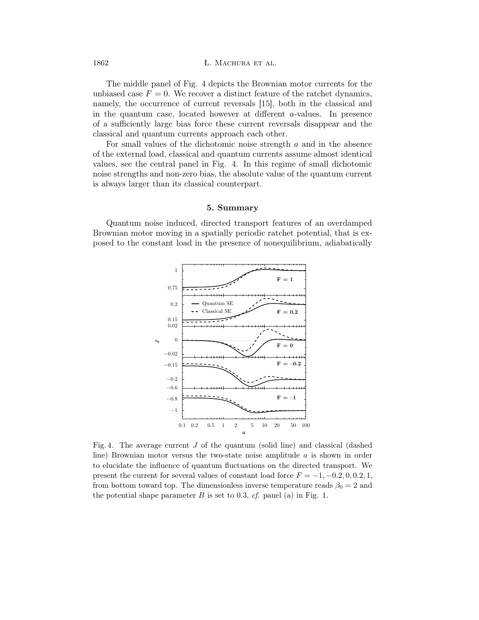#### 1862 **L. MACHURA ET AL.**

The middle panel of Fig. 4 depicts the Brownian motor currents for the unbiased case  $F = 0$ . We recover a distinct feature of the ratchet dynamics, namely, the occurrence of current reversals [15], both in the classical and in the quantum case, located however at different a-values. In presence of a sufficiently large bias force these current reversals disappear and the classical and quantum currents approach each other.

For small values of the dichotomic noise strength a and in the absence of the external load, classical and quantum currents assume almost identical values, see the central panel in Fig. 4. In this regime of small dichotomic noise strengths and non-zero bias, the absolute value of the quantum current is always larger than its classical counterpart.

## 5. Summary

Quantum noise induced, directed transport features of an overdamped Brownian motor moving in a spatially periodic ratchet potential, that is exposed to the constant load in the presence of nonequilibrium, adiabatically



Fig. 4. The average current  $J$  of the quantum (solid line) and classical (dashed line) Brownian motor versus the two-state noise amplitude  $a$  is shown in order to elucidate the influence of quantum fluctuations on the directed transport. We present the current for several values of constant load force  $F = -1, -0.2, 0, 0.2, 1$ , from bottom toward top. The dimensionless inverse temperature reads  $\beta_0 = 2$  and the potential shape parameter  $B$  is set to 0.3,  $cf.$  panel (a) in Fig. 1.